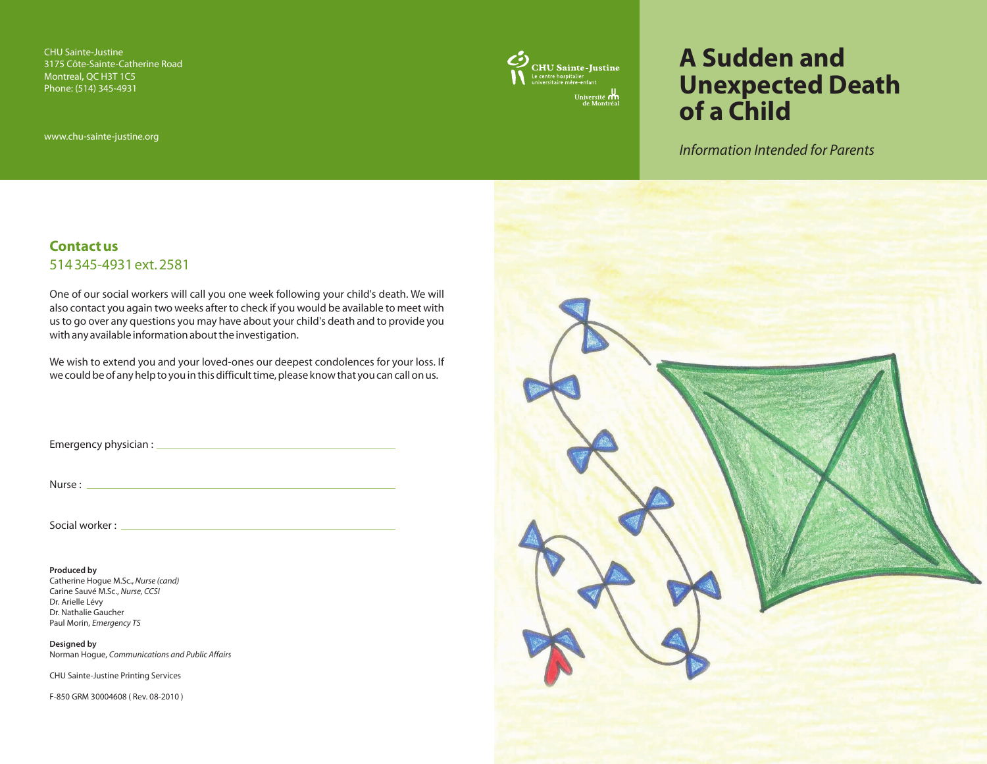CHU Sainte-Justine 3175 Côte-Sainte-Catherine Road Montreal, OC H3T 1C5 Phone: (514) 345-4931

www.chu-sainte-justine.org



# **A Sudden and Unexpected Death of a Child**

*Information Intended for Parents* 

### **Contact us** 514 345-4931 ext. 2581

One of our social workers will call you one week following your child's death. We will also contact you again two weeks after to check if you would be available to meet with us to go over any questions you may have about your child's death and to provide you with any available information about the investigation.

We wish to extend you and your loved-ones our deepest condolences for your loss. If we could be of any help to you in this difficult time, please know that you can call on us.

Emergency physician :

Nurse :

Social worker : \_\_\_\_\_\_

**Produced by** Catherine Hogue M.Sc., *Nurse (cand)*  Carine Sauvé M.Sc., *Nurse, CCSI*  Dr. Arielle Lévy Dr. Nathalie Gaucher Paul Morin, *Emergency TS*

**Designed by**  Norman Hogue, *Communications and Public Affairs* 

CHU Sainte-Justine Printing Services

F-850 GRM 30004608 ( Rev. 08-2010 )